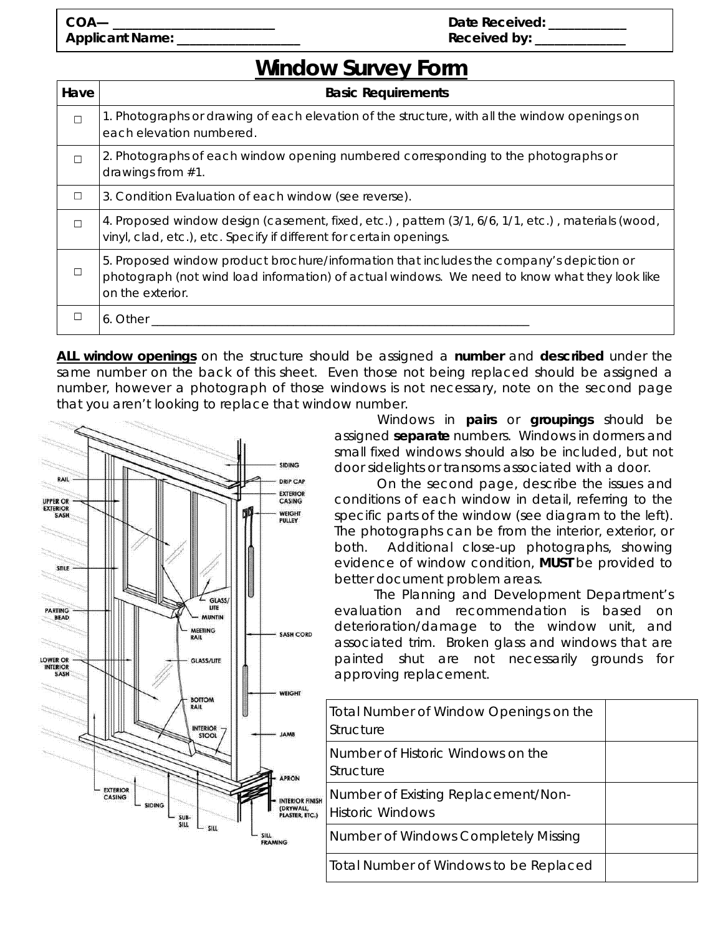## **Window Survey Form**

| Have   | <b>Basic Requirements</b>                                                                                                                                                                                     |  |  |
|--------|---------------------------------------------------------------------------------------------------------------------------------------------------------------------------------------------------------------|--|--|
| $\Box$ | 1. Photographs or drawing of each elevation of the structure, with all the window openings on<br>each elevation numbered.                                                                                     |  |  |
| П      | 2. Photographs of each window opening <i>numbered</i> corresponding to the photographs or<br>drawings from $#1$ .                                                                                             |  |  |
| □      | 3. Condition Evaluation of each window (see reverse).                                                                                                                                                         |  |  |
| П      | 4. Proposed window design (casement, fixed, etc.), pattern (3/1, 6/6, 1/1, etc.), materials (wood,<br>vinyl, clad, etc.), etc. Specify if different for certain openings.                                     |  |  |
| П      | 5. Proposed window product brochure/information that includes the company's depiction or<br>photograph (not wind load information) of actual windows. We need to know what they look like<br>on the exterior. |  |  |
|        | 6. Other                                                                                                                                                                                                      |  |  |

*ALL* **window openings** on the structure should be assigned a *number* and *described* under the same number on the back of this sheet. Even those not being replaced should be assigned a number, however a photograph of those windows is not necessary, note on the second page that you aren't looking to replace that window number.



 Windows in *pairs or groupings* should be assigned **separate** numbers. Windows in dormers and small fixed windows *should* also be included, but *not* door sidelights or transoms associated with a door.

 On the second page, describe the issues and conditions of *each* window in detail, referring to the specific parts of the window (see diagram to the left). The photographs can be from the interior, exterior, or both. *Additional close-up photographs*, showing evidence of window condition, **MUST** be provided to better document problem areas.

 The Planning and Development Department's evaluation and recommendation is based on deterioration/damage to the window unit, and associated trim. Broken glass and windows that are painted shut are not necessarily grounds for approving replacement.

| Total Number of Window Openings on the<br>Structure            |  |
|----------------------------------------------------------------|--|
| Number of Historic Windows on the<br>Structure                 |  |
| Number of Existing Replacement/Non-<br><b>Historic Windows</b> |  |
| Number of Windows Completely Missing                           |  |
| Total Number of Windows to be Replaced                         |  |